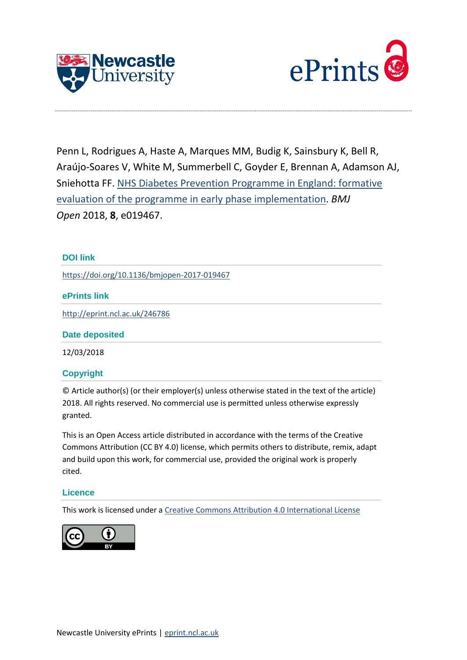



Penn L, Rodrigues A, Haste A, Marques MM, Budig K, Sainsbury K, Bell R, Araújo-Soares V, White M, Summerbell C, Goyder E, Brennan A, Adamson AJ, Sniehotta FF. [NHS Diabetes Prevention Programme in England: formative](http://eprint.ncl.ac.uk/246786)  [evaluation of the programme in early phase implementation.](http://eprint.ncl.ac.uk/246786) *BMJ Open* 2018, **8**, e019467.

# **DOI link**

<https://doi.org/10.1136/bmjopen-2017-019467>

**ePrints link**

<http://eprint.ncl.ac.uk/246786>

**Date deposited**

12/03/2018

# **Copyright**

© Article author(s) (or their employer(s) unless otherwise stated in the text of the article) 2018. All rights reserved. No commercial use is permitted unless otherwise expressly granted.

This is an Open Access article distributed in accordance with the terms of the Creative Commons Attribution (CC BY 4.0) license, which permits others to distribute, remix, adapt and build upon this work, for commercial use, provided the original work is properly cited.

### **Licence**

This work is licensed under a [Creative Commons Attribution 4.0 International License](http://creativecommons.org/licenses/by/4.0/)

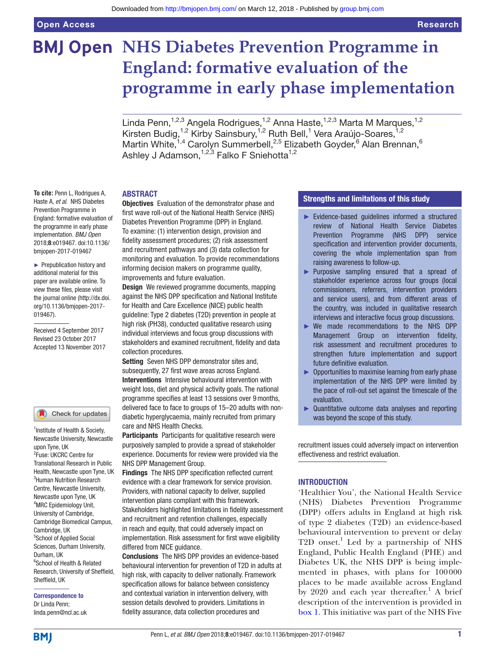# **BMJ Open NHS Diabetes Prevention Programme in England: formative evaluation of the programme in early phase implementation**

Linda Penn,<sup>1,2,3</sup> Angela Rodrigues,<sup>1,2</sup> Anna Haste,<sup>1,2,3</sup> Marta M Margues,<sup>1,2</sup> Kirsten Budig,<sup>1,2</sup> Kirby Sainsbury,<sup>1,2</sup> Ruth Bell,<sup>1</sup> Vera Araújo-Soares,<sup>1,2</sup> Martin White,<sup>1,4</sup> Carolyn Summerbell,<sup>2,5</sup> Elizabeth Goyder,<sup>6</sup> Alan Brennan, 6 Ashley J Adamson,<sup>1,2,3</sup> Falko F Sniehotta<sup>1,2</sup>

#### **ABSTRACT**

**Objectives** Evaluation of the demonstrator phase and first wave roll-out of the National Health Service (NHS) Diabetes Prevention Programme (DPP) in England. To examine: (1) intervention design, provision and fidelity assessment procedures; (2) risk assessment and recruitment pathways and (3) data collection for monitoring and evaluation. To provide recommendations informing decision makers on programme quality, improvements and future evaluation.

**Design** We reviewed programme documents, mapping against the NHS DPP specification and National Institute for Health and Care Excellence (NICE) public health guideline: Type 2 diabetes (T2D) prevention in people at high risk (PH38), conducted qualitative research using individual interviews and focus group discussions with stakeholders and examined recruitment, fidelity and data collection procedures.

Setting Seven NHS DPP demonstrator sites and, subsequently, 27 first wave areas across England. Interventions Intensive behavioural intervention with weight loss, diet and physical activity goals. The national programme specifies at least 13 sessions over 9months, delivered face to face to groups of 15–20 adults with nondiabetic hyperglycaemia, mainly recruited from primary care and NHS Health Checks.

Participants Participants for qualitative research were purposively sampled to provide a spread of stakeholder experience. Documents for review were provided via the NHS DPP Management Group.

Findings The NHS DPP specification reflected current evidence with a clear framework for service provision. Providers, with national capacity to deliver, supplied intervention plans compliant with this framework. Stakeholders highlighted limitations in fidelity assessment and recruitment and retention challenges, especially in reach and equity, that could adversely impact on implementation. Risk assessment for first wave eligibility differed from NICE guidance.

Conclusions The NHS DPP provides an evidence-based behavioural intervention for prevention of T2D in adults at high risk, with capacity to deliver nationally. Framework specification allows for balance between consistency and contextual variation in intervention delivery, with session details devolved to providers. Limitations in fidelity assurance, data collection procedures and

### Strengths and limitations of this study

- ► Evidence-based guidelines informed a structured review of National Health Service Diabetes Prevention Programme (NHS DPP) service specification and intervention provider documents, covering the whole implementation span from raising awareness to follow-up.
- ► Purposive sampling ensured that a spread of stakeholder experience across four groups (local commissioners, referrers, intervention providers and service users), and from different areas of the country, was included in qualitative research interviews and interactive focus group discussions.
- ► We made recommendations to the NHS DPP Management Group on intervention fidelity, risk assessment and recruitment procedures to strengthen future implementation and support future definitive evaluation.
- ► Opportunities to maximise learning from early phase implementation of the NHS DPP were limited by the pace of roll-out set against the timescale of the evaluation.
- ► Quantitative outcome data analyses and reporting was beyond the scope of this study.

recruitment issues could adversely impact on intervention effectiveness and restrict evaluation.

#### **INTRODUCTION**

'Healthier You', the National Health Service (NHS) Diabetes Prevention Programme (DPP) offers adults in England at high risk of type 2 diabetes (T2D) an evidence-based behavioural intervention to prevent or delay T2D onset.<sup>[1](#page-10-0)</sup> Led by a partnership of NHS England, Public Health England (PHE) and Diabetes UK, the NHS DPP is being implemented in phases, with plans for 100000 places to be made available across England by 2020 and each year thereafter.<sup>[1](#page-10-0)</sup> A brief description of the intervention is provided in [box](#page-2-0) 1. This initiative was part of the NHS Five

**To cite:** Penn L, Rodrigues A, Haste A, *et al*. NHS Diabetes Prevention Programme in England: formative evaluation of the programme in early phase implementation. *BMJ Open* 2018;8:e019467. doi:10.1136/ bmjopen-2017-019467

► Prepublication history and additional material for this paper are available online. To view these files, please visit the journal online [\(http://dx.doi.](http://dx.doi.org/10.1136/bmjopen-2017-019467) [org/10.1136/bmjopen-2017-](http://dx.doi.org/10.1136/bmjopen-2017-019467) [019467\)](http://dx.doi.org/10.1136/bmjopen-2017-019467).

Received 4 September 2017 Revised 23 October 2017 Accepted 13 November 2017

#### Check for updates

<sup>1</sup>Institute of Health & Society, Newcastle University, Newcastle upon Tyne, UK <sup>2</sup>Fuse: UKCRC Centre for Translational Research in Public Health, Newcastle upon Tyne, UK <sup>3</sup>Human Nutrition Research Centre, Newcastle University, Newcastle upon Tyne, UK 4 MRC Epidemiology Unit, University of Cambridge, Cambridge Biomedical Campus, Cambridge, UK 5 School of Applied Social Sciences, Durham University, Durham, UK 6 School of Health & Related Research, University of Sheffield, Sheffield, UK

Correspondence to Dr Linda Penn; linda.penn@ncl.ac.uk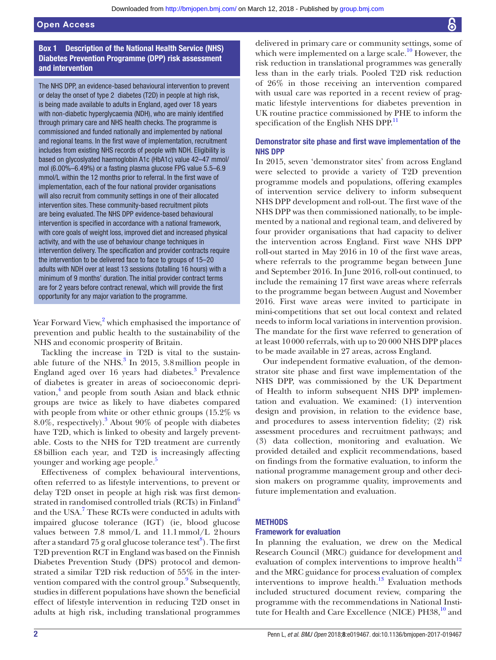#### Box 1 Description of the National Health Service (NHS) Diabetes Prevention Programme (DPP) risk assessment and intervention

<span id="page-2-0"></span>The NHS DPP, an evidence-based behavioural intervention to prevent or delay the onset of type 2 diabetes (T2D) in people at high risk, is being made available to adults in England, aged over 18 years with non-diabetic hyperglycaemia (NDH), who are mainly identified through primary care and NHS health checks. The programme is commissioned and funded nationally and implemented by national and regional teams. In the first wave of implementation, recruitment includes from existing NHS records of people with NDH. Eligibility is based on glycoslyated haemoglobin A1c (HbA1c) value 42–47 mmol/ mol (6.00%–6.49%) or a fasting plasma glucose FPG value 5.5–6.9 mmol/L within the 12 months prior to referral. In the first wave of implementation, each of the four national provider organisations will also recruit from community settings in one of their allocated intervention sites. These community-based recruitment pilots are being evaluated. The NHS DPP evidence-based behavioural intervention is specified in accordance with a national framework, with core goals of weight loss, improved diet and increased physical activity, and with the use of behaviour change techniques in intervention delivery. The specification and provider contracts require the intervention to be delivered face to face to groups of 15–20 adults with NDH over at least 13 sessions (totalling 16 hours) with a minimum of 9 months' duration. The initial provider contract terms are for 2 years before contract renewal, which will provide the first opportunity for any major variation to the programme.

Year Forward View,<sup>[2](#page-10-1)</sup> which emphasised the importance of prevention and public health to the sustainability of the NHS and economic prosperity of Britain.

Tackling the increase in T2D is vital to the sustainable future of the NHS. $3$  In 2015, 3.8 million people in England aged over 16 years had diabetes.<sup>[3](#page-10-2)</sup> Prevalence of diabetes is greater in areas of socioeconomic depri-vation,<sup>[4](#page-10-3)</sup> and people from south Asian and black ethnic groups are twice as likely to have diabetes compared with people from white or other ethnic groups (15.2% vs 8.0%, respectively).[3](#page-10-2) About 90% of people with diabetes have T2D, which is linked to obesity and largely preventable. Costs to the NHS for T2D treatment are currently £8billion each year, and T2D is increasingly affecting younger and working age people.<sup>[5](#page-10-4)</sup>

Effectiveness of complex behavioural interventions, often referred to as lifestyle interventions, to prevent or delay T2D onset in people at high risk was first demon-strated in randomised controlled trials (RCTs) in Finland<sup>[6](#page-10-5)</sup> and the USA.<sup>[7](#page-10-6)</sup> These RCTs were conducted in adults with impaired glucose tolerance (IGT) (ie, blood glucose values between 7.8 mmol/L and 11.1mmol/L 2hours after a standard  $75$  g oral glucose tolerance test $^{8}$  $^{8}$  $^{8}$ ). The first T2D prevention RCT in England was based on the Finnish Diabetes Prevention Study (DPS) protocol and demonstrated a similar T2D risk reduction of 55% in the inter-vention compared with the control group.<sup>[9](#page-10-8)</sup> Subsequently, studies in different populations have shown the beneficial effect of lifestyle intervention in reducing T2D onset in adults at high risk, including translational programmes

delivered in primary care or community settings, some of which were implemented on a large scale.<sup>10</sup> However, the risk reduction in translational programmes was generally less than in the early trials. Pooled T2D risk reduction of 26% in those receiving an intervention compared with usual care was reported in a recent review of pragmatic lifestyle interventions for diabetes prevention in UK routine practice commissioned by PHE to inform the specification of the English NHS DPP.<sup>[11](#page-10-10)</sup>

#### Demonstrator site phase and first wave implementation of the NHS DPP

In 2015, seven 'demonstrator sites' from across England were selected to provide a variety of T2D prevention programme models and populations, offering examples of intervention service delivery to inform subsequent NHS DPP development and roll-out. The first wave of the NHS DPP was then commissioned nationally, to be implemented by a national and regional team, and delivered by four provider organisations that had capacity to deliver the intervention across England. First wave NHS DPP roll-out started in May 2016 in 10 of the first wave areas, where referrals to the programme began between June and September 2016. In June 2016, roll-out continued, to include the remaining 17 first wave areas where referrals to the programme began between August and November 2016. First wave areas were invited to participate in mini-competitions that set out local context and related needs to inform local variations in intervention provision. The mandate for the first wave referred to generation of at least 10000 referrals, with up to 20 000 NHS DPP places to be made available in 27 areas, across England.

Our independent formative evaluation, of the demonstrator site phase and first wave implementation of the NHS DPP, was commissioned by the UK Department of Health to inform subsequent NHS DPP implementation and evaluation. We examined: (1) intervention design and provision, in relation to the evidence base, and procedures to assess intervention fidelity; (2) risk assessment procedures and recruitment pathways; and (3) data collection, monitoring and evaluation. We provided detailed and explicit recommendations, based on findings from the formative evaluation, to inform the national programme management group and other decision makers on programme quality, improvements and future implementation and evaluation.

#### **METHODS**

#### Framework for evaluation

In planning the evaluation, we drew on the Medical Research Council (MRC) guidance for development and evaluation of complex interventions to improve health $12$ and the MRC guidance for process evaluation of complex interventions to improve health.<sup>13</sup> Evaluation methods included structured document review, comparing the programme with the recommendations in National Institute for Health and Care Excellence (NICE)  $PH38$ ,  $^{10}$  and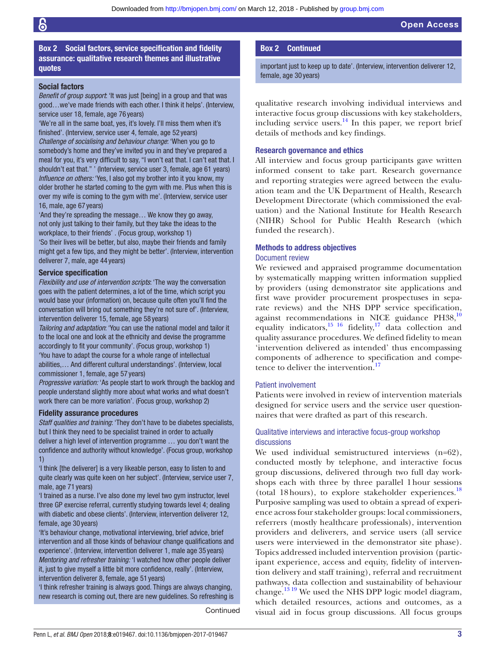Box 2 Social factors, service specification and fidelity assurance: qualitative research themes and illustrative quotes

#### <span id="page-3-0"></span>Social factors

*Benefit of group support*: 'It was just [being] in a group and that was good…we've made friends with each other. I think it helps'. (Interview, service user 18, female, age 76 years)

'We're all in the same boat, yes, it's lovely. I'll miss them when it's finished'. (Interview, service user 4, female, age 52 years) *Challenge of socialising and behaviour change*: 'When you go to somebody's home and they've invited you in and they've prepared a meal for you, it's very difficult to say, "I won't eat that. I can't eat that. I shouldn't eat that." ' (Interview, service user 3, female, age 61 years) *Influence on others:* 'Yes, I also got my brother into it you know, my older brother he started coming to the gym with me. Plus when this is over my wife is coming to the gym with me'. (Interview, service user 16, male, age 67 years)

'And they're spreading the message… We know they go away, not only just talking to their family, but they take the ideas to the workplace, to their friends' . (Focus group, workshop 1)

'So their lives will be better, but also, maybe their friends and family might get a few tips, and they might be better'. (Interview, intervention deliverer 7, male, age 44 years)

#### Service specification

*Flexibility and use of intervention scripts*: 'The way the conversation goes with the patient determines, a lot of the time, which script you would base your (information) on, because quite often you'll find the conversation will bring out something they're not sure of'. (Interview, intervention deliverer 15, female, age 58 years)

*Tailoring and adaptation*: 'You can use the national model and tailor it to the local one and look at the ethnicity and devise the programme accordingly to fit your community'. (Focus group, workshop 1) 'You have to adapt the course for a whole range of intellectual abilities,… And different cultural understandings'. (Interview, local commissioner 1, female, age 57 years)

*Progressive variation:* 'As people start to work through the backlog and people understand slightly more about what works and what doesn't work there can be more variation'. (Focus group, workshop 2)

#### Fidelity assurance procedures

*Staff qualities and training*: 'They don't have to be diabetes specialists, but I think they need to be specialist trained in order to actually deliver a high level of intervention programme … you don't want the confidence and authority without knowledge'. (Focus group, workshop 1)

'I think [the deliverer] is a very likeable person, easy to listen to and quite clearly was quite keen on her subject'. (Interview, service user 7, male, age 71 years)

'I trained as a nurse. I've also done my level two gym instructor, level three GP exercise referral, currently studying towards level 4; dealing with diabetic and obese clients'. (Interview, intervention deliverer 12, female, age 30 years)

'It's behaviour change, motivational interviewing, brief advice, brief intervention and all those kinds of behaviour change qualifications and experience'. (Interview, intervention deliverer 1, male age 35 years) *Mentoring and refresher training:* 'I watched how other people deliver it, just to give myself a little bit more confidence, really'. (Interview, intervention deliverer 8, female, age 51 years)

'I think refresher training is always good. Things are always changing, new research is coming out, there are new guidelines. So refreshing is

**Continued** 

#### Box 2 Continued

important just to keep up to date'. (Interview, intervention deliverer 12, female, age 30 years)

qualitative research involving individual interviews and interactive focus group discussions with key stakeholders, including service users. $^{14}$  In this paper, we report brief details of methods and key findings.

#### Research governance and ethics

All interview and focus group participants gave written informed consent to take part. Research governance and reporting strategies were agreed between the evaluation team and the UK Department of Health, Research Development Directorate (which commissioned the evaluation) and the National Institute for Health Research (NIHR) School for Public Health Research (which funded the research).

# Methods to address objectives

#### Document review

We reviewed and appraised programme documentation by systematically mapping written information supplied by providers (using demonstrator site applications and first wave provider procurement prospectuses in separate reviews) and the NHS DPP service specification, against recommendations in NICE guidance PH38,<sup>[10](#page-10-9)</sup> equality indicators,  $15 \times 16$  fidelity,  $17 \text{ data}$  $17 \text{ data}$  collection and quality assurance procedures. We defined fidelity to mean 'intervention delivered as intended' thus encompassing components of adherence to specification and compe-tence to deliver the intervention.<sup>[17](#page-10-15)</sup>

#### Patient involvement

Patients were involved in review of intervention materials designed for service users and the service user questionnaires that were drafted as part of this research.

#### Qualitative interviews and interactive focus-group workshop discussions

We used individual semistructured interviews  $(n=62)$ , conducted mostly by telephone, and interactive focus group discussions, delivered through two full day workshops each with three by three parallel 1hour sessions (total [18](#page-10-16) hours), to explore stakeholder experiences.<sup>18</sup> Purposive sampling was used to obtain a spread of experience across four stakeholder groups: local commissioners, referrers (mostly healthcare professionals), intervention providers and deliverers, and service users (all service users were interviewed in the demonstrator site phase). Topics addressed included intervention provision (participant experience, access and equity, fidelity of intervention delivery and staff training), referral and recruitment pathways, data collection and sustainability of behaviour change.[13 19](#page-10-12) We used the NHS DPP logic model diagram, which detailed resources, actions and outcomes, as a visual aid in focus group discussions. All focus groups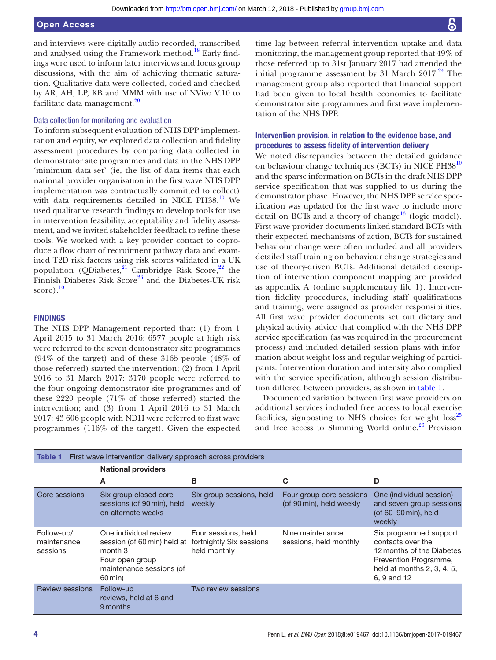and interviews were digitally audio recorded, transcribed and analysed using the Framework method.<sup>18</sup> Early findings were used to inform later interviews and focus group discussions, with the aim of achieving thematic saturation. Qualitative data were collected, coded and checked by AR, AH, LP, KB and MMM with use of NVivo V.10 to facilitate data management.<sup>20</sup>

#### Data collection for monitoring and evaluation

To inform subsequent evaluation of NHS DPP implementation and equity, we explored data collection and fidelity assessment procedures by comparing data collected in demonstrator site programmes and data in the NHS DPP 'minimum data set' (ie, the list of data items that each national provider organisation in the first wave NHS DPP implementation was contractually committed to collect) with data requirements detailed in NICE PH38.<sup>10</sup> We used qualitative research findings to develop tools for use in intervention feasibility, acceptability and fidelity assessment, and we invited stakeholder feedback to refine these tools. We worked with a key provider contact to coproduce a flow chart of recruitment pathway data and examined T2D risk factors using risk scores validated in a UK population (QDiabetes, $^{21}$  Cambridge Risk Score, $^{22}$  the Finnish Diabetes Risk Score<sup>23</sup> and the Diabetes-UK risk score). $^{10}$  $^{10}$  $^{10}$ 

#### **FINDINGS**

The NHS DPP Management reported that: (1) from 1 April 2015 to 31 March 2016: 6577 people at high risk were referred to the seven demonstrator site programmes (94% of the target) and of these 3165 people (48% of those referred) started the intervention; (2) from 1 April 2016 to 31 March 2017: 3170 people were referred to the four ongoing demonstrator site programmes and of these 2220 people (71% of those referred) started the intervention; and (3) from 1 April 2016 to 31 March 2017: 43 606 people with NDH were referred to first wave programmes (116% of the target). Given the expected

time lag between referral intervention uptake and data monitoring, the management group reported that 49% of those referred up to 31st January 2017 had attended the initial programme assessment by 31 March  $2017.^{24}$  $2017.^{24}$  $2017.^{24}$  The management group also reported that financial support had been given to local health economies to facilitate demonstrator site programmes and first wave implementation of the NHS DPP.

#### Intervention provision, in relation to the evidence base, and procedures to assess fidelity of intervention delivery

We noted discrepancies between the detailed guidance on behaviour change techniques (BCTs) in NICE PH38<sup>[10](#page-10-9)</sup> and the sparse information on BCTs in the draft NHS DPP service specification that was supplied to us during the demonstrator phase. However, the NHS DPP service specification was updated for the first wave to include more detail on BCTs and a theory of change<sup>[13](#page-10-12)</sup> (logic model). First wave provider documents linked standard BCTs with their expected mechanisms of action, BCTs for sustained behaviour change were often included and all providers detailed staff training on behaviour change strategies and use of theory-driven BCTs. Additional detailed description of intervention component mapping are provided as appendix A (online [supplementary file 1](https://dx.doi.org/10.1136/bmjopen-2017-019467)). Intervention fidelity procedures, including staff qualifications and training, were assigned as provider responsibilities. All first wave provider documents set out dietary and physical activity advice that complied with the NHS DPP service specification (as was required in the procurement process) and included detailed session plans with information about weight loss and regular weighing of participants. Intervention duration and intensity also complied with the service specification, although session distribution differed between providers, as shown in [table](#page-4-0) 1.

Documented variation between first wave providers on additional services included free access to local exercise facilities, signposting to NHS choices for weight  $loss<sup>25</sup>$  $loss<sup>25</sup>$  $loss<sup>25</sup>$ and free access to Slimming World online.<sup>26</sup> Provision

<span id="page-4-0"></span>

| First wave intervention delivery approach across providers<br>Table 1 |                                                                                                                                                    |                                     |                                                      |                                                                                                                                                |  |  |
|-----------------------------------------------------------------------|----------------------------------------------------------------------------------------------------------------------------------------------------|-------------------------------------|------------------------------------------------------|------------------------------------------------------------------------------------------------------------------------------------------------|--|--|
|                                                                       | <b>National providers</b>                                                                                                                          |                                     |                                                      |                                                                                                                                                |  |  |
|                                                                       | A                                                                                                                                                  | В                                   | C                                                    | D                                                                                                                                              |  |  |
| Core sessions                                                         | Six group closed core<br>sessions (of 90 min), held<br>on alternate weeks                                                                          | Six group sessions, held<br>weekly  | Four group core sessions<br>(of 90 min), held weekly | One (individual session)<br>and seven group sessions<br>(of 60-90 min), held<br>weekly                                                         |  |  |
| Follow-up/<br>maintenance<br>sessions                                 | One individual review<br>session (of 60 min) held at fortnightly Six sessions<br>month 3<br>Four open group<br>maintenance sessions (of<br>60 min) | Four sessions, held<br>held monthly | Nine maintenance<br>sessions, held monthly           | Six programmed support<br>contacts over the<br>12 months of the Diabetes<br>Prevention Programme,<br>held at months 2, 3, 4, 5,<br>6, 9 and 12 |  |  |
| <b>Review sessions</b>                                                | Follow-up<br>reviews, held at 6 and<br>9 months                                                                                                    | Two review sessions                 |                                                      |                                                                                                                                                |  |  |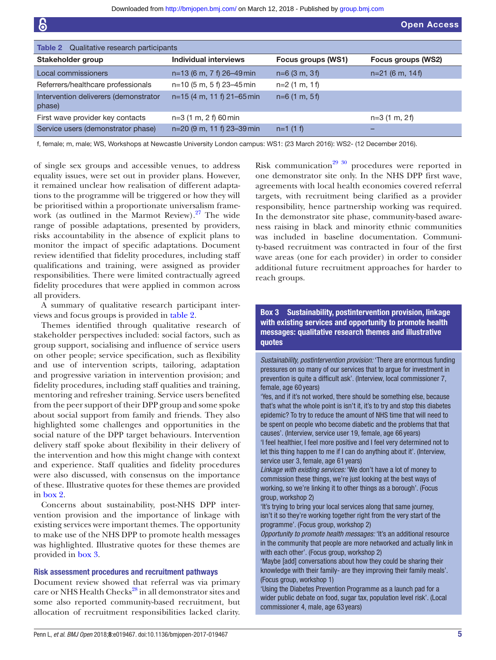<span id="page-5-0"></span>

| $\sim$                                          |                              |                                 |                                 |  |  |
|-------------------------------------------------|------------------------------|---------------------------------|---------------------------------|--|--|
|                                                 |                              |                                 |                                 |  |  |
| Qualitative research participants<br>Table 2    |                              |                                 |                                 |  |  |
| Stakeholder group                               | <b>Individual interviews</b> | Focus groups (WS1)              | Focus groups (WS2)              |  |  |
| Local commissioners                             | n=13 (6 m, 7 f) 26-49 min    | $n=6(3 m, 3 f)$                 | $n=21$ (6 m, 14f)               |  |  |
| Referrers/healthcare professionals              | n=10 (5 m, 5 f) 23-45 min    | $n=2(1 \text{ m}, 1 \text{ f})$ |                                 |  |  |
| Intervention deliverers (demonstrator<br>phase) | n=15 (4 m, 11 f) 21-65 min   | $n=6(1 \text{ m}, 5 \text{ f})$ |                                 |  |  |
| First wave provider key contacts                | $n=3$ (1 m, 2 f) 60 min      |                                 | $n=3(1 \text{ m}, 2 \text{ f})$ |  |  |
| Service users (demonstrator phase)              | n=20 (9 m, 11 f) 23-39 min   | $n=1$ (1 f)                     |                                 |  |  |

f, female; m, male; WS, Workshops at Newcastle University London campus: WS1: (23 March 2016): WS2- (12 December 2016).

of single sex groups and accessible venues, to address equality issues, were set out in provider plans. However, it remained unclear how realisation of different adaptations to the programme will be triggered or how they will be prioritised within a proportionate universalism frame-work (as outlined in the Marmot Review).<sup>[27](#page-10-24)</sup> The wide range of possible adaptations, presented by providers, risks accountability in the absence of explicit plans to monitor the impact of specific adaptations. Document review identified that fidelity procedures, including staff qualifications and training, were assigned as provider responsibilities. There were limited contractually agreed fidelity procedures that were applied in common across all providers.

A summary of qualitative research participant interviews and focus groups is provided in [table](#page-5-0) 2.

Themes identified through qualitative research of stakeholder perspectives included: social factors, such as group support, socialising and influence of service users on other people; service specification, such as flexibility and use of intervention scripts, tailoring, adaptation and progressive variation in intervention provision; and fidelity procedures, including staff qualities and training, mentoring and refresher training. Service users benefited from the peer support of their DPP group and some spoke about social support from family and friends. They also highlighted some challenges and opportunities in the social nature of the DPP target behaviours. Intervention delivery staff spoke about flexibility in their delivery of the intervention and how this might change with context and experience. Staff qualities and fidelity procedures were also discussed, with consensus on the importance of these. Illustrative quotes for these themes are provided in [box](#page-3-0) 2.

Concerns about sustainability, post-NHS DPP intervention provision and the importance of linkage with existing services were important themes. The opportunity to make use of the NHS DPP to promote health messages was highlighted. Illustrative quotes for these themes are provided in [box](#page-5-1) 3.

#### Risk assessment procedures and recruitment pathways

Document review showed that referral was via primary care or NHS Health Checks<sup>[28](#page-10-25)</sup> in all demonstrator sites and some also reported community-based recruitment, but allocation of recruitment responsibilities lacked clarity.

Risk communication<sup>[29 30](#page-11-0)</sup> procedures were reported in one demonstrator site only. In the NHS DPP first wave, agreements with local health economies covered referral targets, with recruitment being clarified as a provider responsibility, hence partnership working was required. In the demonstrator site phase, community-based awareness raising in black and minority ethnic communities was included in baseline documentation. Community-based recruitment was contracted in four of the first wave areas (one for each provider) in order to consider additional future recruitment approaches for harder to reach groups.

**Open Access** 

#### Box 3 Sustainability, postintervention provision, linkage with existing services and opportunity to promote health messages: qualitative research themes and illustrative quotes

<span id="page-5-1"></span>*Sustainability, postintervention provision:* 'There are enormous funding pressures on so many of our services that to argue for investment in prevention is quite a difficult ask'. (Interview, local commissioner 7, female, age 60 years)

'Yes, and if it's not worked, there should be something else, because that's what the whole point is isn't it, it's to try and stop this diabetes epidemic? To try to reduce the amount of NHS time that will need to be spent on people who become diabetic and the problems that that causes'. (Interview, service user 19, female, age 66 years) 'I feel healthier, I feel more positive and I feel very determined not to

let this thing happen to me if I can do anything about it'. (Interview, service user 3, female, age 61 years)

*Linkage with existing services:* 'We don't have a lot of money to commission these things, we're just looking at the best ways of working, so we're linking it to other things as a borough'. (Focus group, workshop 2)

'It's trying to bring your local services along that same journey, isn't it so they're working together right from the very start of the programme'. (Focus group, workshop 2)

*Opportunity to promote health messages:* 'It's an additional resource in the community that people are more networked and actually link in with each other'. (Focus group, workshop 2)

'Maybe [add] conversations about how they could be sharing their knowledge with their family- are they improving their family meals'. (Focus group, workshop 1)

'Using the Diabetes Prevention Programme as a launch pad for a wider public debate on food, sugar tax, population level risk'. (Local commissioner 4, male, age 63 years)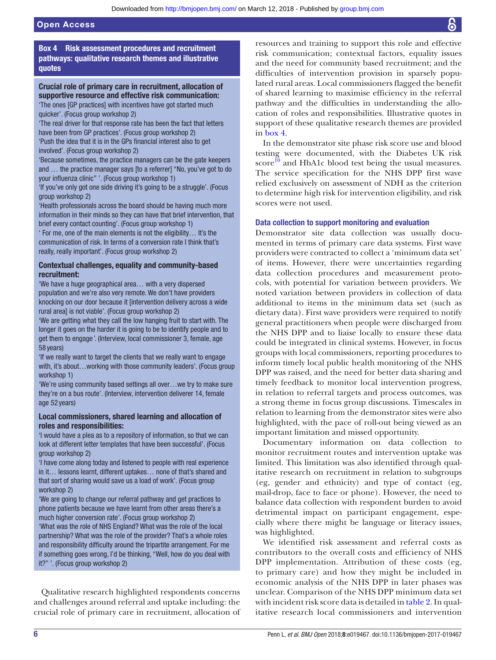#### Box 4 Risk assessment procedures and recruitment pathways: qualitative research themes and illustrative quotes

#### <span id="page-6-0"></span>Crucial role of primary care in recruitment, allocation of supportive resource and effective risk communication: 'The ones [GP practices] with incentives have got started much quicker'. (Focus group workshop 2)

'The real driver for that response rate has been the fact that letters have been from GP practices'. (Focus group workshop 2) 'Push the idea that it is in the GPs financial interest also to get involved'. (Focus group workshop 2)

'Because sometimes, the practice managers can be the gate keepers and … the practice manager says [to a referrer] "No, you've got to do your influenza clinic" '. (Focus group workshop 1)

'If you've only got one side driving it's going to be a struggle'. (Focus group workshop 2)

'Health professionals across the board should be having much more information in their minds so they can have that brief intervention, that brief every contact counting'. (Focus group workshop 1)

' For me, one of the main elements is not the eligibility… It's the communication of risk. In terms of a conversion rate I think that's really, really important'. (Focus group workshop 2)

#### Contextual challenges, equality and community-based recruitment:

'We have a huge geographical area… with a very dispersed population and we're also very remote. We don't have providers knocking on our door because it [intervention delivery across a wide rural area] is not viable'. (Focus group workshop 2)

'We are getting what they call the low hanging fruit to start with. The longer it goes on the harder it is going to be to identify people and to get them to engage*'.* (Interview, local commissioner 3, female, age 58 years)

'If we really want to target the clients that we really want to engage with, it's about...working with those community leaders'. (Focus group workshop 1)

'We're using community based settings all over…we try to make sure they're on a bus route'. (Interview, intervention deliverer 14, female age 52 years)

#### Local commissioners, shared learning and allocation of roles and responsibilities:

'I would have a plea as to a repository of information, so that we can look at different letter templates that have been successful'. (Focus group workshop 2)

'I have come along today and listened to people with real experience in it… lessons learnt, different uptakes… none of that's shared and that sort of sharing would save us a load of work'. (Focus group workshop 2)

'We are going to change our referral pathway and get practices to phone patients because we have learnt from other areas there's a much higher conversion rate'. (Focus group workshop 2) 'What was the role of NHS England? What was the role of the local partnership? What was the role of the provider? That's a whole roles and responsibility difficulty around the tripartite arrangement. For me if something goes wrong, I'd be thinking, "Well, how do you deal with it?" '. (Focus group workshop 2)

Qualitative research highlighted respondents concerns and challenges around referral and uptake including: the crucial role of primary care in recruitment, allocation of

resources and training to support this role and effective risk communication; contextual factors, equality issues and the need for community based recruitment; and the difficulties of intervention provision in sparsely populated rural areas. Local commissioners flagged the benefit of shared learning to maximise efficiency in the referral pathway and the difficulties in understanding the allocation of roles and responsibilities. Illustrative quotes in support of these qualitative research themes are provided in [box](#page-6-0) 4.

In the demonstrator site phase risk score use and blood testing were documented, with the Diabetes UK risk score<sup>10</sup> and HbA1c blood test being the usual measures. The service specification for the NHS DPP first wave relied exclusively on assessment of NDH as the criterion to determine high risk for intervention eligibility, and risk scores were not used.

#### Data collection to support monitoring and evaluation

Demonstrator site data collection was usually documented in terms of primary care data systems. First wave providers were contracted to collect a 'minimum data set' of items. However, there were uncertainties regarding data collection procedures and measurement protocols, with potential for variation between providers. We noted variation between providers in collection of data additional to items in the minimum data set (such as dietary data). First wave providers were required to notify general practitioners when people were discharged from the NHS DPP and to liaise locally to ensure these data could be integrated in clinical systems. However, in focus groups with local commissioners, reporting procedures to inform timely local public health monitoring of the NHS DPP was raised, and the need for better data sharing and timely feedback to monitor local intervention progress, in relation to referral targets and process outcomes, was a strong theme in focus group discussions. Timescales in relation to learning from the demonstrator sites were also highlighted, with the pace of roll-out being viewed as an important limitation and missed opportunity.

Documentary information on data collection to monitor recruitment routes and intervention uptake was limited. This limitation was also identified through qualitative research on recruitment in relation to subgroups (eg, gender and ethnicity) and type of contact (eg, mail-drop, face to face or phone). However, the need to balance data collection with respondent burden to avoid detrimental impact on participant engagement, especially where there might be language or literacy issues, was highlighted.

We identified risk assessment and referral costs as contributors to the overall costs and efficiency of NHS DPP implementation. Attribution of these costs (eg, to primary care) and how they might be included in economic analysis of the NHS DPP in later phases was unclear. Comparison of the NHS DPP minimum data set with incident risk score data is detailed in [table](#page-5-0) 2. In qualitative research local commissioners and intervention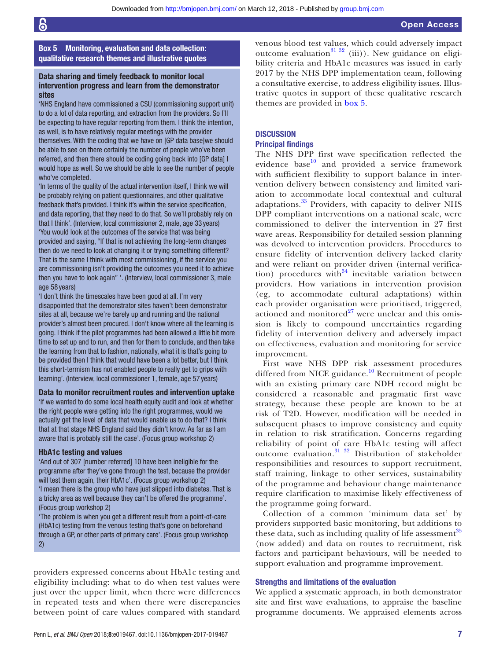Box 5 Monitoring, evaluation and data collection: qualitative research themes and illustrative quotes

#### <span id="page-7-0"></span>Data sharing and timely feedback to monitor local intervention progress and learn from the demonstrator sites

'NHS England have commissioned a CSU (commissioning support unit) to do a lot of data reporting, and extraction from the providers. So I'll be expecting to have regular reporting from them. I think the intention, as well, is to have relatively regular meetings with the provider themselves. With the coding that we have on [GP data base]we should be able to see on there certainly the number of people who've been referred, and then there should be coding going back into [GP data] I would hope as well. So we should be able to see the number of people who've completed.

'In terms of the quality of the actual intervention itself, I think we will be probably relying on patient questionnaires, and other qualitative feedback that's provided. I think it's within the service specification, and data reporting, that they need to do that. So we'll probably rely on that I think'. (Interview, local commissioner 2, male, age 33 years) 'You would look at the outcomes of the service that was being provided and saying, "If that is not achieving the long-term changes then do we need to look at changing it or trying something different? That is the same I think with most commissioning, if the service you are commissioning isn't providing the outcomes you need it to achieve then you have to look again" '. (Interview, local commissioner 3, male age 58 years)

'I don't think the timescales have been good at all. I'm very disappointed that the demonstrator sites haven't been demonstrator sites at all, because we're barely up and running and the national provider's almost been procured. I don't know where all the learning is going. I think if the pilot programmes had been allowed a little bit more time to set up and to run, and then for them to conclude, and then take the learning from that to fashion, nationally, what it is that's going to be provided then I think that would have been a lot better, but I think this short-termism has not enabled people to really get to grips with learning'. (Interview, local commissioner 1, female, age 57 years)

#### Data to monitor recruitment routes and intervention uptake

'If we wanted to do some local health equity audit and look at whether the right people were getting into the right programmes, would we actually get the level of data that would enable us to do that? I think that at that stage NHS England said they didn't know. As far as I am aware that is probably still the case'. (Focus group workshop 2)

#### HbA1c testing and values

'And out of 307 [number referred] 10 have been ineligible for the programme after they've gone through the test, because the provider will test them again, their HbA1c'. (Focus group workshop 2) 'I mean there is the group who have just slipped into diabetes. That is a tricky area as well because they can't be offered the programme'. (Focus group workshop 2)

'The problem is when you get a different result from a point-of-care (HbA1c) testing from the venous testing that's gone on beforehand through a GP, or other parts of primary care'. (Focus group workshop 2)

providers expressed concerns about HbA1c testing and eligibility including: what to do when test values were just over the upper limit, when there were differences in repeated tests and when there were discrepancies between point of care values compared with standard venous blood test values, which could adversely impact outcome evaluation<sup>[31 32](#page-11-1)</sup> (iii)). New guidance on eligibility criteria and HbA1c measures was issued in early 2017 by the NHS DPP implementation team, following a consultative exercise, to address eligibility issues. Illustrative quotes in support of these qualitative research themes are provided in [box](#page-7-0) 5.

#### **DISCUSSION**

#### Principal findings

The NHS DPP first wave specification reflected the evidence base<sup>10</sup> and provided a service framework with sufficient flexibility to support balance in intervention delivery between consistency and limited variation to accommodate local contextual and cultural adaptations.<sup>33</sup> Providers, with capacity to deliver NHS DPP compliant interventions on a national scale, were commissioned to deliver the intervention in 27 first wave areas. Responsibility for detailed session planning was devolved to intervention providers. Procedures to ensure fidelity of intervention delivery lacked clarity and were reliant on provider driven (internal verification) procedures with $34$  inevitable variation between providers. How variations in intervention provision (eg, to accommodate cultural adaptations) within each provider organisation were prioritised, triggered, actioned and monitored $27$  were unclear and this omission is likely to compound uncertainties regarding fidelity of intervention delivery and adversely impact on effectiveness, evaluation and monitoring for service improvement.

First wave NHS DPP risk assessment procedures differed from NICE guidance.<sup>10</sup> Recruitment of people with an existing primary care NDH record might be considered a reasonable and pragmatic first wave strategy, because these people are known to be at risk of T2D. However, modification will be needed in subsequent phases to improve consistency and equity in relation to risk stratification. Concerns regarding reliability of point of care HbA1c testing will affect outcome evaluation.[31 32](#page-11-1) Distribution of stakeholder responsibilities and resources to support recruitment, staff training, linkage to other services, sustainability of the programme and behaviour change maintenance require clarification to maximise likely effectiveness of the programme going forward.

Collection of a common 'minimum data set' by providers supported basic monitoring, but additions to these data, such as including quality of life assessment<sup>[35](#page-11-4)</sup> (now added) and data on routes to recruitment, risk factors and participant behaviours, will be needed to support evaluation and programme improvement.

#### Strengths and limitations of the evaluation

We applied a systematic approach, in both demonstrator site and first wave evaluations, to appraise the baseline programme documents. We appraised elements across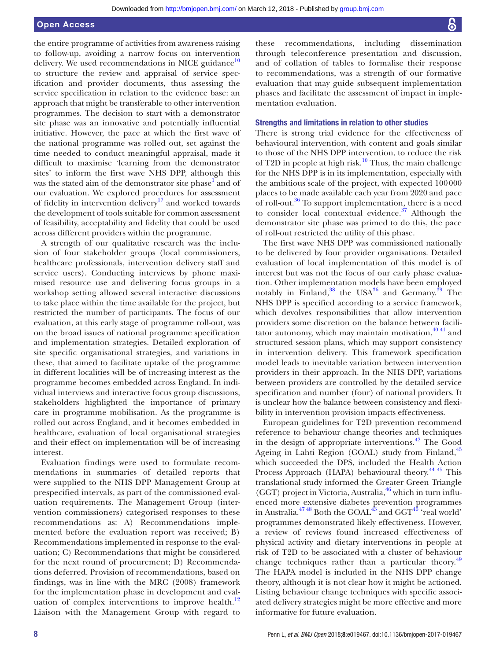the entire programme of activities from awareness raising to follow-up, avoiding a narrow focus on intervention delivery. We used recommendations in NICE guidance<sup>[10](#page-10-9)</sup> to structure the review and appraisal of service specification and provider documents, thus assessing the service specification in relation to the evidence base: an approach that might be transferable to other intervention programmes. The decision to start with a demonstrator site phase was an innovative and potentially influential initiative. However, the pace at which the first wave of the national programme was rolled out, set against the time needed to conduct meaningful appraisal, made it difficult to maximise 'learning from the demonstrator sites' to inform the first wave NHS DPP, although this was the stated aim of the demonstrator site phase<sup>[1](#page-10-0)</sup> and of our evaluation. We explored procedures for assessment of fidelity in intervention delivery<sup>[17](#page-10-15)</sup> and worked towards the development of tools suitable for common assessment of feasibility, acceptability and fidelity that could be used across different providers within the programme.

A strength of our qualitative research was the inclusion of four stakeholder groups (local commissioners, healthcare professionals, intervention delivery staff and service users). Conducting interviews by phone maximised resource use and delivering focus groups in a workshop setting allowed several interactive discussions to take place within the time available for the project, but restricted the number of participants. The focus of our evaluation, at this early stage of programme roll-out, was on the broad issues of national programme specification and implementation strategies. Detailed exploration of site specific organisational strategies, and variations in these, that aimed to facilitate uptake of the programme in different localities will be of increasing interest as the programme becomes embedded across England. In individual interviews and interactive focus group discussions, stakeholders highlighted the importance of primary care in programme mobilisation. As the programme is rolled out across England, and it becomes embedded in healthcare, evaluation of local organisational strategies and their effect on implementation will be of increasing interest.

Evaluation findings were used to formulate recommendations in summaries of detailed reports that were supplied to the NHS DPP Management Group at prespecified intervals, as part of the commissioned evaluation requirements. The Management Group (intervention commissioners) categorised responses to these recommendations as: A) Recommendations implemented before the evaluation report was received; B) Recommendations implemented in response to the evaluation; C) Recommendations that might be considered for the next round of procurement; D) Recommendations deferred. Provision of recommendations, based on findings, was in line with the MRC (2008) framework for the implementation phase in development and evaluation of complex interventions to improve health. $12$ Liaison with the Management Group with regard to

#### Strengths and limitations in relation to other studies

mentation evaluation.

There is strong trial evidence for the effectiveness of behavioural intervention, with content and goals similar to those of the NHS DPP intervention, to reduce the risk of T2D in people at high risk.<sup>10</sup> Thus, the main challenge for the NHS DPP is in its implementation, especially with the ambitious scale of the project, with expected 100000 places to be made available each year from 2020 and pace of roll-out.<sup>[36](#page-11-5)</sup> To support implementation, there is a need to consider local contextual evidence. $37$  Although the demonstrator site phase was primed to do this, the pace of roll-out restricted the utility of this phase.

phases and facilitate the assessment of impact in imple-

The first wave NHS DPP was commissioned nationally to be delivered by four provider organisations. Detailed evaluation of local implementation of this model is of interest but was not the focus of our early phase evaluation. Other implementation models have been employed notably in Finland, $38$  the USA $36$  and Germany.<sup>[39](#page-11-8)</sup> The NHS DPP is specified according to a service framework, which devolves responsibilities that allow intervention providers some discretion on the balance between facilitator autonomy, which may maintain motivation, $40\frac{4}{11}$  and structured session plans, which may support consistency in intervention delivery. This framework specification model leads to inevitable variation between intervention providers in their approach. In the NHS DPP, variations between providers are controlled by the detailed service specification and number (four) of national providers. It is unclear how the balance between consistency and flexibility in intervention provision impacts effectiveness.

European guidelines for T2D prevention recommend reference to behaviour change theories and techniques in the design of appropriate interventions. $^{42}$  The Good Ageing in Lahti Region (GOAL) study from Finland, $43$ which succeeded the DPS, included the Health Action Process Approach (HAPA) behavioural theory.<sup>44 45</sup> This translational study informed the Greater Green Triangle (GGT) project in Victoria, Australia,  $46$  which in turn influenced more extensive diabetes prevention programmes in Australia.<sup>4748</sup> Both the GOAL<sup>43</sup> and GGT<sup>46</sup> 'real world' programmes demonstrated likely effectiveness. However, a review of reviews found increased effectiveness of physical activity and dietary interventions in people at risk of T2D to be associated with a cluster of behaviour change techniques rather than a particular theory.<sup>[49](#page-11-15)</sup> The HAPA model is included in the NHS DPP change theory, although it is not clear how it might be actioned. Listing behaviour change techniques with specific associated delivery strategies might be more effective and more informative for future evaluation.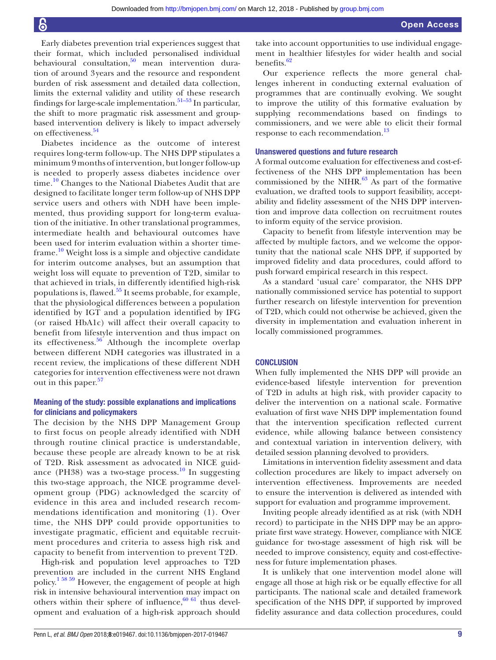Early diabetes prevention trial experiences suggest that their format, which included personalised individual behavioural consultation,<sup>50</sup> mean intervention duration of around 3years and the resource and respondent burden of risk assessment and detailed data collection, limits the external validity and utility of these research findings for large-scale implementation.<sup>[51–53](#page-11-17)</sup> In particular, the shift to more pragmatic risk assessment and groupbased intervention delivery is likely to impact adversely on effectiveness.[54](#page-11-18)

Diabetes incidence as the outcome of interest requires long-term follow-up. The NHS DPP stipulates a minimum 9 months of intervention, but longer follow-up is needed to properly assess diabetes incidence over time.<sup>10</sup> Changes to the National Diabetes Audit that are designed to facilitate longer term follow-up of NHS DPP service users and others with NDH have been implemented, thus providing support for long-term evaluation of the initiative. In other translational programmes, intermediate health and behavioural outcomes have been used for interim evaluation within a shorter timeframe.<sup>10</sup> Weight loss is a simple and objective candidate for interim outcome analyses, but an assumption that weight loss will equate to prevention of T2D, similar to that achieved in trials, in differently identified high-risk populations is, flawed. $55$  It seems probable, for example, that the physiological differences between a population identified by IGT and a population identified by IFG (or raised HbA1c) will affect their overall capacity to benefit from lifestyle intervention and thus impact on its effectiveness.<sup>56</sup> Although the incomplete overlap between different NDH categories was illustrated in a recent review, the implications of these different NDH categories for intervention effectiveness were not drawn out in this paper.<sup>[57](#page-11-21)</sup>

#### Meaning of the study: possible explanations and implications for clinicians and policymakers

The decision by the NHS DPP Management Group to first focus on people already identified with NDH through routine clinical practice is understandable, because these people are already known to be at risk of T2D. Risk assessment as advocated in NICE guidance (PH38) was a two-stage process.<sup>10</sup> In suggesting this two-stage approach, the NICE programme development group (PDG) acknowledged the scarcity of evidence in this area and included research recommendations identification and monitoring (1). Over time, the NHS DPP could provide opportunities to investigate pragmatic, efficient and equitable recruitment procedures and criteria to assess high risk and capacity to benefit from intervention to prevent T2D.

High-risk and population level approaches to T2D prevention are included in the current NHS England policy[.1 58 59](#page-10-0) However, the engagement of people at high risk in intensive behavioural intervention may impact on others within their sphere of influence,  $60\,61\,$  thus development and evaluation of a high-risk approach should take into account opportunities to use individual engagement in healthier lifestyles for wider health and social benefits.<sup>[62](#page-11-23)</sup>

Our experience reflects the more general challenges inherent in conducting external evaluation of programmes that are continually evolving. We sought to improve the utility of this formative evaluation by supplying recommendations based on findings to commissioners, and we were able to elicit their formal response to each recommendation.<sup>[13](#page-10-12)</sup>

#### Unanswered questions and future research

A formal outcome evaluation for effectiveness and cost-effectiveness of the NHS DPP implementation has been commissioned by the NIHR. $^{63}$  As part of the formative evaluation, we drafted tools to support feasibility, acceptability and fidelity assessment of the NHS DPP intervention and improve data collection on recruitment routes to inform equity of the service provision.

Capacity to benefit from lifestyle intervention may be affected by multiple factors, and we welcome the opportunity that the national scale NHS DPP, if supported by improved fidelity and data procedures, could afford to push forward empirical research in this respect.

As a standard 'usual care' comparator, the NHS DPP nationally commissioned service has potential to support further research on lifestyle intervention for prevention of T2D, which could not otherwise be achieved, given the diversity in implementation and evaluation inherent in locally commissioned programmes.

#### **CONCLUSION**

When fully implemented the NHS DPP will provide an evidence-based lifestyle intervention for prevention of T2D in adults at high risk, with provider capacity to deliver the intervention on a national scale. Formative evaluation of first wave NHS DPP implementation found that the intervention specification reflected current evidence, while allowing balance between consistency and contextual variation in intervention delivery, with detailed session planning devolved to providers.

Limitations in intervention fidelity assessment and data collection procedures are likely to impact adversely on intervention effectiveness. Improvements are needed to ensure the intervention is delivered as intended with support for evaluation and programme improvement.

Inviting people already identified as at risk (with NDH record) to participate in the NHS DPP may be an appropriate first wave strategy. However, compliance with NICE guidance for two-stage assessment of high risk will be needed to improve consistency, equity and cost-effectiveness for future implementation phases.

It is unlikely that one intervention model alone will engage all those at high risk or be equally effective for all participants. The national scale and detailed framework specification of the NHS DPP, if supported by improved fidelity assurance and data collection procedures, could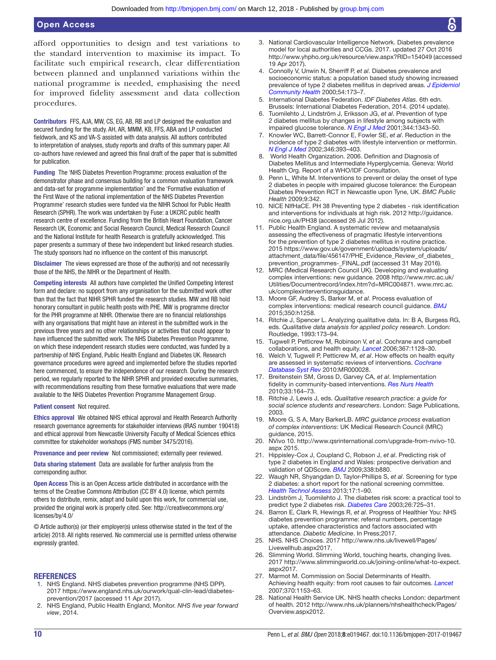afford opportunities to design and test variations to the standard intervention to maximise its impact. To facilitate such empirical research, clear differentiation between planned and unplanned variations within the national programme is needed, emphasising the need for improved fidelity assessment and data collection procedures.

Contributors FFS, AJA, MW, CS, EG, AB, RB and LP designed the evaluation and secured funding for the study. AH, AR, MMM, KB, FFS, ABA and LP conducted fieldwork, and KS and VA-S assisted with data analysis. All authors contributed to interpretation of analyses, study reports and drafts of this summary paper. All co-authors have reviewed and agreed this final draft of the paper that is submitted for publication.

Funding The 'NHS Diabetes Prevention Programme: process evaluation of the demonstrator phase and consensus building for a common evaluation framework and data-set for programme implementation' and the 'Formative evaluation of the First Wave of the national implementation of the NHS Diabetes Prevention Programme' research studies were funded via the NIHR School for Public Health Research (SPHR). The work was undertaken by Fuse: a UKCRC public health research centre of excellence. Funding from the British Heart Foundation, Cancer Research UK, Economic and Social Research Council, Medical Research Council and the National Institute for health Research is gratefully acknowledged. This paper presents a summary of these two independent but linked research studies. The study sponsors had no influence on the content of this manuscript.

**Disclaimer** The views expressed are those of the author(s) and not necessarily those of the NHS, the NIHR or the Department of Health.

Competing interests All authors have completed the Unified Competing Interest form and declare: no support from any organisation for the submitted work other than that the fact that NIHR SPHR funded the research studies. MW and RB hold honorary consultant in public health posts with PHE. MW is programme director for the PHR programme at NIHR. Otherwise there are no financial relationships with any organisations that might have an interest in the submitted work in the previous three years and no other relationships or activities that could appear to have influenced the submitted work. The NHS Diabetes Prevention Programme, on which these independent research studies were conducted, was funded by a partnership of NHS England, Public Health England and Diabetes UK. Research governance procedures were agreed and implemented before the studies reported here commenced, to ensure the independence of our research. During the research period, we regularly reported to the NIHR SPHR and provided executive summaries, with recommendations resulting from these formative evaluations that were made available to the NHS Diabetes Prevention Programme Management Group.

#### Patient consent Not required.

Ethics approval We obtained NHS ethical approval and Health Research Authority research governance agreements for stakeholder interviews (IRAS number 190418) and ethical approval from Newcastle University Faculty of Medical Sciences ethics committee for stakeholder workshops (FMS number 3475/2016).

Provenance and peer review Not commissioned; externally peer reviewed.

Data sharing statement Data are available for further analysis from the corresponding author.

Open Access This is an Open Access article distributed in accordance with the terms of the Creative Commons Attribution (CC BY 4.0) license, which permits others to distribute, remix, adapt and build upon this work, for commercial use, provided the original work is properly cited. See: [http://creativecommons.org/](http://creativecommons.org/licenses/by/4.0/) [licenses/by/4.0/](http://creativecommons.org/licenses/by/4.0/)

© Article author(s) (or their employer(s) unless otherwise stated in the text of the article) 2018. All rights reserved. No commercial use is permitted unless otherwise expressly granted.

#### **REFERENCES**

- <span id="page-10-0"></span>1. NHS England. NHS diabetes prevention programme (NHS DPP). 2017 [https://www.england.nhs.uk/ourwork/qual-clin-lead/diabetes](https://www.england.nhs.uk/ourwork/qual-clin-lead/diabetes-prevention/2017)[prevention/2017](https://www.england.nhs.uk/ourwork/qual-clin-lead/diabetes-prevention/2017) (accessed 11 Apr 2017).
- <span id="page-10-1"></span>2. NHS England, Public Health England, Monitor. *NHS five year forward view*, 2014.
- <span id="page-10-2"></span>3. National Cardiovascular Intelligence Network. Diabetes prevalence model for local authorities and CCGs. 2017. updated 27 Oct 2016 <http://www.yhpho.org.uk/resource/view.aspx?RID=154049>(accessed 19 Apr 2017).
- <span id="page-10-3"></span>4. Connolly V, Unwin N, Sherriff P, *et al*. Diabetes prevalence and socioeconomic status: a population based study showing increased prevalence of type 2 diabetes mellitus in deprived areas. *[J Epidemiol](http://dx.doi.org/10.1136/jech.54.3.173)  [Community Health](http://dx.doi.org/10.1136/jech.54.3.173)* 2000;54:173–7.
- <span id="page-10-4"></span>5. International Diabetes Federation. *IDF Diabetes Atlas*. 6th edn. Brussels: International Diabetes Federation, 2014. (2014 update).
- <span id="page-10-5"></span>6. Tuomilehto J, Lindström J, Eriksson JG, *et al*. Prevention of type 2 diabetes mellitus by changes in lifestyle among subjects with impaired glucose tolerance. *[N Engl J Med](http://dx.doi.org/10.1056/NEJM200105033441801)* 2001;344:1343–50.
- <span id="page-10-6"></span>7. Knowler WC, Barrett-Connor E, Fowler SE, *et al*. Reduction in the incidence of type 2 diabetes with lifestyle intervention or metformin. *[N Engl J Med](http://dx.doi.org/10.1056/NEJMoa012512)* 2002;346:393–403.
- <span id="page-10-7"></span>8. World Health Organization. 2006. Definition and Diagnosis of Diabetes Mellitus and Intermediate Hyperglycemia. Geneva: World Health Org. Report of a WHO/IDF Consultation.
- <span id="page-10-8"></span>9. Penn L, White M. Interventions to prevent or delay the onset of type 2 diabetes in people with impaired glucose tolerance: the European Diabetes Prevention RCT in Newcastle upon Tyne, UK. *BMC Public Health* 2009;9:342.
- <span id="page-10-9"></span>10. NICE NIfHaCE. PH 38 Preventing type 2 diabetes - risk identification and interventions for individuals at high risk. 2012 [http://guidance.](http://guidance.nice.org.uk/PH38) [nice.org.uk/PH38](http://guidance.nice.org.uk/PH38) (accessed 26 Jul 2012).
- <span id="page-10-10"></span>11. Public Health England. A systematic review and metaanalysis assessing the effectiveness of pragmatic lifestyle interventions for the prevention of type 2 diabetes mellitus in routine practice. 2015 [https://www.gov.uk/government/uploads/system/uploads/](https://www.gov.uk/government/uploads/system/uploads/attachment_data/file/456147/PHE_Evidence_Review_of_diabetes_prevention_programmes-_FINAL.pdf) [attachment\\_data/file/456147/PHE\\_Evidence\\_Review\\_of\\_diabetes\\_](https://www.gov.uk/government/uploads/system/uploads/attachment_data/file/456147/PHE_Evidence_Review_of_diabetes_prevention_programmes-_FINAL.pdf) [prevention\\_programmes-\\_FINAL.pdf](https://www.gov.uk/government/uploads/system/uploads/attachment_data/file/456147/PHE_Evidence_Review_of_diabetes_prevention_programmes-_FINAL.pdf) (accessed 31 May 2016).
- <span id="page-10-11"></span>12. MRC (Medical Research Council UK). Developing and evaluating complex interventions: new guidance. 2008 [http://www.mrc.ac.uk/](http://www.mrc.ac.uk/Utilities/Documentrecord/index.htm?d=MRC004871. www.mrc.ac.uk/complexinterventionsguidance) [Utilities/Documentrecord/index.htm?d=MRC004871. www.mrc.ac.](http://www.mrc.ac.uk/Utilities/Documentrecord/index.htm?d=MRC004871. www.mrc.ac.uk/complexinterventionsguidance) [uk/complexinterventionsguidance.](http://www.mrc.ac.uk/Utilities/Documentrecord/index.htm?d=MRC004871. www.mrc.ac.uk/complexinterventionsguidance)
- <span id="page-10-12"></span>13. Moore GF, Audrey S, Barker M, *et al*. Process evaluation of complex interventions: medical research council guidance. *[BMJ](http://dx.doi.org/10.1136/bmj.h1258)* 2015;350:h1258.
- <span id="page-10-13"></span>14. Ritchie J, Spencer L. Analyzing qualitative data. In: B A, Burgess RG, eds. *Qualitative data analysis for applied policy research*. London: Routledge, 1993:173–94.
- <span id="page-10-14"></span>15. Tugwell P, Petticrew M, Robinson V, *et al*. Cochrane and campbell collaborations, and health equity. *[Lancet](http://dx.doi.org/10.1016/S0140-6736(06)68490-0)* 2006;367:1128–30.
- 16. Welch V, Tugwell P, Petticrew M, *et al*. How effects on health equity are assessed in systematic reviews of interventions. *[Cochrane](http://dx.doi.org/10.1002/14651858.MR000028.pub2)  [Database Syst Rev](http://dx.doi.org/10.1002/14651858.MR000028.pub2)* 2010:MR000028.
- <span id="page-10-15"></span>17. Breitenstein SM, Gross D, Garvey CA, *et al*. Implementation fidelity in community-based interventions. *[Res Nurs Health](http://dx.doi.org/10.1002/nur.20373)* 2010;33:164–73.
- <span id="page-10-16"></span>18. Ritchie J, Lewis J, eds. *Qualitative research practice: a guide for social science students and researchers*. London: Sage Publications, 2003.
- 19. Moore G, S A, Mary BarkerLB. *MRC guidance process evaluation of complex interventions*: UK Medical Research Council (MRC) guidance, 2015.
- <span id="page-10-17"></span>20. NVivo 10. [http://www.qsrinternational.com/upgrade-from-nvivo-10.](http://www.qsrinternational.com/upgrade-from-nvivo-10.aspx) [aspx](http://www.qsrinternational.com/upgrade-from-nvivo-10.aspx) 2015.
- <span id="page-10-18"></span>21. Hippisley-Cox J, Coupland C, Robson J, *et al*. Predicting risk of type 2 diabetes in England and Wales: prospective derivation and validation of QDScore. *[BMJ](http://dx.doi.org/10.1136/bmj.b880)* 2009;338:b880.
- <span id="page-10-19"></span>22. Waugh NR, Shyangdan D, Taylor-Phillips S, *et al*. Screening for type 2 diabetes: a short report for the national screening committee. *[Health Technol Assess](http://dx.doi.org/10.3310/hta17350)* 2013;17:1–90.
- <span id="page-10-20"></span>23. Lindström J, Tuomilehto J. The diabetes risk score: a practical tool to predict type 2 diabetes risk. *[Diabetes Care](http://dx.doi.org/10.2337/diacare.26.3.725)* 2003;26:725–31.
- <span id="page-10-21"></span>24. Barron E, Clark R, Hewings R, *et al*. Progress of Healthier You: NHS diabetes prevention programme: referral numbers, percentage uptake, attendee characteristics and factors associated with attendance. *Diabetic Medicine*. In Press;2017.
- <span id="page-10-22"></span>25. NHS. NHS Choices. 2017 [http://www.nhs.uk/livewell/Pages/](http://www.nhs.uk/livewell/Pages/Livewellhub.aspx2017) [Livewellhub.aspx2017.](http://www.nhs.uk/livewell/Pages/Livewellhub.aspx2017)
- <span id="page-10-23"></span>26. Slimming World. Slimming World, touching hearts, changing lives. 2017 [http://www.slimmingworld.co.uk/joining-online/what-to-expect.](http://www.slimmingworld.co.uk/joining-online/what-to-expect.aspx2017) [aspx2017.](http://www.slimmingworld.co.uk/joining-online/what-to-expect.aspx2017)
- <span id="page-10-24"></span>27. Marmot M. Commission on Social Determinants of Health. Achieving health equity: from root causes to fair outcomes. *[Lancet](http://dx.doi.org/10.1016/S0140-6736(07)61385-3)* 2007;370:1153–63.
- <span id="page-10-25"></span>28. National Health Service UK. NHS health checks London: department of health. 2012 [http://www.nhs.uk/planners/nhshealthcheck/Pages/](http://www.nhs.uk/planners/nhshealthcheck/Pages/Overview.aspx2012) [Overview.aspx2012](http://www.nhs.uk/planners/nhshealthcheck/Pages/Overview.aspx2012).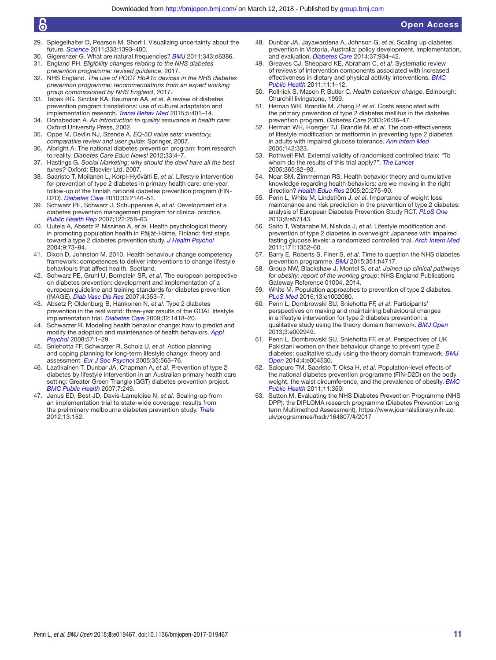- 
- <span id="page-11-0"></span>29. Spiegelhalter D, Pearson M, Short I. Visualizing uncertainty about the future. *[Science](http://dx.doi.org/10.1126/science.1191181)* 2011;333:1393–400.
- 30. Gigerenzer G. What are natural frequencies? *[BMJ](http://dx.doi.org/10.1136/bmj.d6386)* 2011;343:d6386.
- <span id="page-11-1"></span>31. England PH. *Eligibility changes relating to the NHS diabetes prevention programme: revised guidance*, 2017.
- 32. NHS England. *The use of POCT HbA1c devices in the NHS diabetes prevention programme: recommendations from an expert working group commissioned by NHS England*, 2017.
- <span id="page-11-2"></span>33. Tabak RG, Sinclair KA, Baumann AA, *et al*. A review of diabetes prevention program translations: use of cultural adaptation and implementation research. *[Transl Behav Med](http://dx.doi.org/10.1007/s13142-015-0341-0)* 2015;5:401–14.
- <span id="page-11-3"></span>34. Donabedian A. *An introduction to quality assurance in health care*: Oxford University Press, 2002.
- <span id="page-11-4"></span>35. Oppe M, Devlin NJ, Szende A. *EQ-5D value sets: inventory, comparative review and user guide*: Springer, 2007.
- <span id="page-11-5"></span>36. Albright A. The national diabetes prevention program: from research to reality. *Diabetes Care Educ Newsl* 2012;33:4–7.
- <span id="page-11-6"></span>37. Hastings G. *Social Marketing: why should the devil have all the best tunes?* Oxford: Elsevier Ltd, 2007.
- <span id="page-11-7"></span>38. Saaristo T, Moilanen L, Korpi-Hyövälti E, *et al*. Lifestyle intervention for prevention of type 2 diabetes in primary health care: one-year follow-up of the finnish national diabetes prevention program (FIN-D2D). *[Diabetes Care](http://dx.doi.org/10.2337/dc10-0410)* 2010;33:2146–51.
- <span id="page-11-8"></span>39. Schwarz PE, Schwarz J, Schuppenies A, *et al*. Development of a diabetes prevention management program for clinical practice. *[Public Health Rep](http://dx.doi.org/10.1177/003335490712200216)* 2007;122:258–63.
- <span id="page-11-9"></span>40. Uutela A, Absetz P, Nissinen A, *et al*. Health psychological theory in promoting population health in Päijät-Häme, Finland: first steps toward a type 2 diabetes prevention study. *[J Health Psychol](http://dx.doi.org/10.1177/1359105304036103)* 2004;9:73–84.
- 41. Dixon D, Johnston M. 2010. Health behaviour change competency framework: competences to deliver interventions to change lifestyle behaviours that affect health. Scotland.
- <span id="page-11-10"></span>42. Schwarz PE, Gruhl U, Bornstein SR, *et al*. The european perspective on diabetes prevention: development and implementation of a european guideline and training standards for diabetes prevention (IMAGE). *[Diab Vasc Dis Res](http://dx.doi.org/10.3132/dvdr.2007.064)* 2007;4:353–7.
- <span id="page-11-11"></span>43. Absetz P, Oldenburg B, Hankonen N, *et al*. Type 2 diabetes prevention in the real world: three-year results of the GOAL lifestyle implementation trial. *[Diabetes Care](http://dx.doi.org/10.2337/dc09-0039)* 2009;32:1418–20.
- <span id="page-11-12"></span>44. Schwarzer R. Modeling health behavior change: how to predict and modify the adoption and maintenance of health behaviors. *[Appl](http://dx.doi.org/10.1111/j.1464-0597.2007.00325.x)  [Psychol](http://dx.doi.org/10.1111/j.1464-0597.2007.00325.x)* 2008;57:1–29.
- 45. Sniehotta FF, Schwarzer R, Scholz U, *et al*. Action planning and coping planning for long-term lifestyle change: theory and assessment. *[Eur J Soc Psychol](http://dx.doi.org/10.1002/ejsp.258)* 2005;35:565–76.
- <span id="page-11-13"></span>46. Laatikainen T, Dunbar JA, Chapman A, *et al*. Prevention of type 2 diabetes by lifestyle intervention in an Australian primary health care setting: Greater Green Triangle (GGT) diabetes prevention project. *[BMC Public Health](http://dx.doi.org/10.1186/1471-2458-7-249)* 2007;7:249.
- <span id="page-11-14"></span>47. Janus ED, Best JD, Davis-Lameloise N, *et al*. Scaling-up from an implementation trial to state-wide coverage: results from the preliminary melbourne diabetes prevention study. *[Trials](http://dx.doi.org/10.1186/1745-6215-13-152)* 2012;13:152.
- 48. Dunbar JA, Jayawardena A, Johnson G, *et al*. Scaling up diabetes prevention in Victoria, Australia: policy development, implementation, and evaluation. *[Diabetes Care](http://dx.doi.org/10.2337/dc12-2647)* 2014;37:934–42.
- <span id="page-11-15"></span>49. Greaves CJ, Sheppard KE, Abraham C, *et al*. Systematic review of reviews of intervention components associated with increased effectiveness in dietary and physical activity interventions. *[BMC](http://dx.doi.org/10.1186/1471-2458-11-119)  [Public Health](http://dx.doi.org/10.1186/1471-2458-11-119)* 2011;11:1–12.
- <span id="page-11-16"></span>50. Rollnick S, Mason P, Butler C. *Health behaviour change*. Edinburgh: Churchill livingstone, 1999.
- <span id="page-11-17"></span>51. Hernan WH, Brandle M, Zhang P, *et al*. Costs associated with the primary prevention of type 2 diabetes mellitus in the diabetes prevention program. *Diabetes Care* 2003;26:36–47.
- Herman WH, Hoerger TJ, Brandle M, et al. The cost-effectiveness of lifestyle modification or metformin in preventing type 2 diabetes in adults with impaired glucose tolerance. *[Ann Intern Med](http://dx.doi.org/10.7326/0003-4819-142-5-200503010-00007)* 2005;142:323.
- 53. Rothwell PM. External validity of randomised controlled trials: "To whom do the results of this trial apply?". *[The Lancet](http://dx.doi.org/10.1016/S0140-6736(04)17670-8)* 2005;365:82–93.
- <span id="page-11-18"></span>54. Noar SM, Zimmerman RS. Health behavior theory and cumulative knowledge regarding health behaviors: are we moving in the right direction? *[Health Educ Res](http://dx.doi.org/10.1093/her/cyg113)* 2005;20:275–90.
- <span id="page-11-19"></span>55. Penn L, White M, Lindström J, *et al*. Importance of weight loss maintenance and risk prediction in the prevention of type 2 diabetes: analysis of European Diabetes Prevention Study RCT. *[PLoS One](http://dx.doi.org/10.1371/journal.pone.0057143)* 2013;8:e57143.
- <span id="page-11-20"></span>56. Saito T, Watanabe M, Nishida J, *et al*. Lifestyle modification and prevention of type 2 diabetes in overweight Japanese with impaired fasting glucose levels: a randomized controlled trial. *[Arch Intern Med](http://dx.doi.org/10.1001/archinternmed.2011.275)* 2011;171:1352–60.
- <span id="page-11-21"></span>57. Barry E, Roberts S, Finer S, *et al*. Time to question the NHS diabetes prevention programme. *[BMJ](http://dx.doi.org/10.1136/bmj.h4717)* 2015;351:h4717.
- 58. Group NW, Blackshaw J, Montel S, *et al*. *Joined up clinical pathways for obesity: report of the working group*: NHS England Publications Gateway Reference 01004, 2014.
- White M. Population approaches to prevention of type 2 diabetes. *[PLoS Med](http://dx.doi.org/10.1371/journal.pmed.1002080)* 2016;13:e1002080.
- <span id="page-11-22"></span>60. Penn L, Dombrowski SU, Sniehotta FF, *et al*. Participants' perspectives on making and maintaining behavioural changes in a lifestyle intervention for type 2 diabetes prevention: a qualitative study using the theory domain framework. *[BMJ Open](http://dx.doi.org/10.1136/bmjopen-2013-002949)* 2013;3:e002949.
- 61. Penn L, Dombrowski SU, Sniehotta FF, *et al*. Perspectives of UK Pakistani women on their behaviour change to prevent type 2 diabetes: qualitative study using the theory domain framework. *[BMJ](http://dx.doi.org/10.1136/bmjopen-2013-004530)  [Open](http://dx.doi.org/10.1136/bmjopen-2013-004530)* 2014;4:e004530.
- <span id="page-11-23"></span>62. Salopuro TM, Saaristo T, Oksa H, *et al*. Population-level effects of the national diabetes prevention programme (FIN-D2D) on the body weight, the waist circumference, and the prevalence of obesity. *[BMC](http://dx.doi.org/10.1186/1471-2458-11-350)  [Public Health](http://dx.doi.org/10.1186/1471-2458-11-350)* 2011;11:350.
- <span id="page-11-24"></span>63. Sutton M. Evaluating the NHS Diabetes Prevention Programme (NHS DPP): the DIPLOMA research programme (Diabetes Prevention Long term Multimethod Assessment). [https://www.journalslibrary.nihr.ac.](https://www.journalslibrary.nihr.ac.uk/programmes/hsdr/164807/#/2017) [uk/programmes/hsdr/164807/#/2017](https://www.journalslibrary.nihr.ac.uk/programmes/hsdr/164807/#/2017)